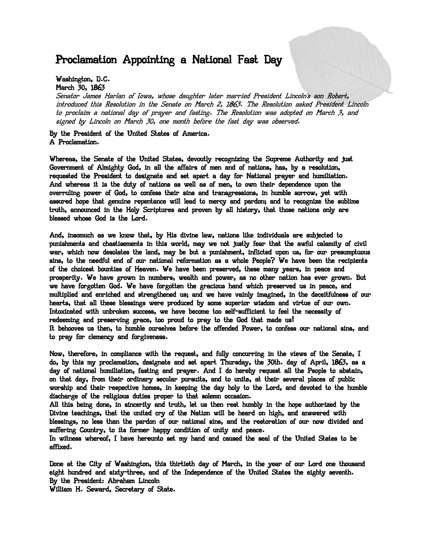## Proclamation Appointing a National Fast Day

## Washington, D.C. March 30, 1863

Senator James Harlan of Iowa, whose daughter later married President Lincoln's son Robert, introduced this Resolution in the Senate on March 2, 1863. The Resolution asked President Lincoln to proclaim a national day of prayer and fasting. The Resolution was adopted on March 3, and signed by Lincoln on March 30, one month before the fast day was observed.

By the President of the United States of America. A Proclamation.

Whereas, the Senate of the United States, devoutly recognizing the Supreme Authority and just Government of Almighty God, in all the affairs of men and of nations, has, by a resolution, requested the President to designate and set apart a day for National prayer and humiliation. And whereas it is the duty of nations as well as of men, to own their dependence upon the overruling power of God, to confess their sins and transgressions, in humble sorrow, yet with assured hope that genuine repentance will lead to mercy and pardon; and to recognize the sublime truth, announced in the Holy Scriptures and proven by all history, that those nations only are blessed whose God is the Lord.

And, insomuch as we know that, by His divine law, nations like individuals are subjected to punishments and chastisements in this world, may we not justly fear that the awful calamity of civil war, which now desolates the land, may be but a punishment, inflicted upon us, for our presumptuous sins, to the needful end of our national reformation as a whole People? We have been the recipients of the choicest bounties of Heaven. We have been preserved, these many years, in peace and prosperity. We have grown in numbers, wealth and power, as no other nation has ever grown. But we have forgotten God. We have forgotten the gracious hand which preserved us in peace, and multiplied and enriched and strengthened us; and we have vainly imagined, in the deceitfulness of our hearts, that all these blessings were produced by some superior wisdom and virtue of our own. Intoxicated with unbroken success, we have become too self-sufficient to feel the necessity of redeeming and preserving grace, too proud to pray to the God that made us! It behooves us then, to humble ourselves before the offended Power, to confess our national sins, and to pray for clemency and forgiveness.

Now, therefore, in compliance with the request, and fully concurring in the views of the Senate, I do, by this my proclamation, designate and set apart Thursday, the 30th. day of April, 1863, as a day of national humiliation, fasting and prayer. And I do hereby request all the People to abstain, on that day, from their ordinary secular pursuits, and to unite, at their several places of public worship and their respective homes, in keeping the day holy to the Lord, and devoted to the humble discharge of the religious duties proper to that solemn occasion.

All this being done, in sincerity and truth, let us then rest humbly in the hope authorized by the Divine teachings, that the united cry of the Nation will be heard on high, and answered with blessings, no less than the pardon of our national sins, and the restoration of our now divided and suffering Country, to its former happy condition of unity and peace.

In witness whereof, I have hereunto set my hand and caused the seal of the United States to be affixed.

Done at the City of Washington, this thirtieth day of March, in the year of our Lord one thousand eight hundred and sixty-three, and of the Independence of the United States the eighty seventh. By the President: Abraham Lincoln

William H. Seward, Secretary of State.